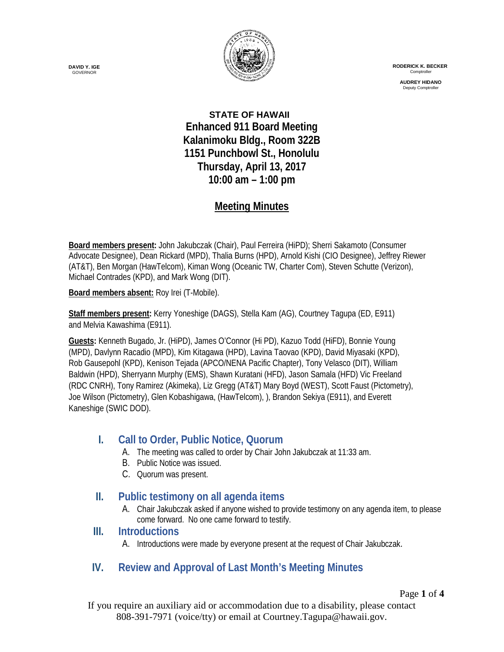

 **RODERICK K. BECKER** Comptroller

> **AUDREY HIDANO** Deputy Comptrol

**STATE OF HAWAII Enhanced 911 Board Meeting Kalanimoku Bldg., Room 322B 1151 Punchbowl St., Honolulu Thursday, April 13, 2017 10:00 am – 1:00 pm**

# **Meeting Minutes**

**Board members present:** John Jakubczak (Chair), Paul Ferreira (HiPD); Sherri Sakamoto (Consumer Advocate Designee), Dean Rickard (MPD), Thalia Burns (HPD), Arnold Kishi (CIO Designee), Jeffrey Riewer (AT&T), Ben Morgan (HawTelcom), Kiman Wong (Oceanic TW, Charter Com), Steven Schutte (Verizon), Michael Contrades (KPD), and Mark Wong (DIT).

**Board members absent:** Roy Irei (T-Mobile).

**Staff members present:** Kerry Yoneshige (DAGS), Stella Kam (AG), Courtney Tagupa (ED, E911) and Melvia Kawashima (E911).

**Guests:** Kenneth Bugado, Jr. (HiPD), James O'Connor (Hi PD), Kazuo Todd (HiFD), Bonnie Young (MPD), Davlynn Racadio (MPD), Kim Kitagawa (HPD), Lavina Taovao (KPD), David Miyasaki (KPD), Rob Gausepohl (KPD), Kenison Tejada (APCO/NENA Pacific Chapter), Tony Velasco (DIT), William Baldwin (HPD), Sherryann Murphy (EMS), Shawn Kuratani (HFD), Jason Samala (HFD) Vic Freeland (RDC CNRH), Tony Ramirez (Akimeka), Liz Gregg (AT&T) Mary Boyd (WEST), Scott Faust (Pictometry), Joe Wilson (Pictometry), Glen Kobashigawa, (HawTelcom), ), Brandon Sekiya (E911), and Everett Kaneshige (SWIC DOD).

# **I. Call to Order, Public Notice, Quorum**

- A. The meeting was called to order by Chair John Jakubczak at 11:33 am.
- B. Public Notice was issued.
- C. Quorum was present.

# **II. Public testimony on all agenda items**

A. Chair Jakubczak asked if anyone wished to provide testimony on any agenda item, to please come forward. No one came forward to testify.

## **III. Introductions**

A. Introductions were made by everyone present at the request of Chair Jakubczak.

# **IV. Review and Approval of Last Month's Meeting Minutes**

Page **1** of **4**

If you require an auxiliary aid or accommodation due to a disability, please contact 808-391-7971 (voice/tty) or email at Courtney.Tagupa@hawaii.gov.

**DAVID Y. IGE** GOVERNOR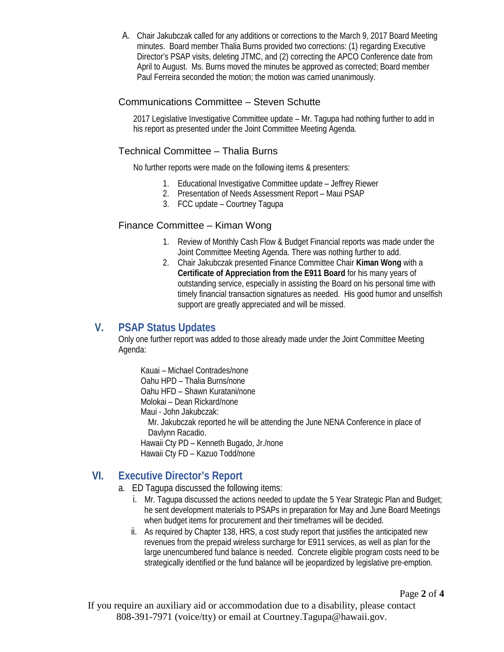A. Chair Jakubczak called for any additions or corrections to the March 9, 2017 Board Meeting minutes. Board member Thalia Burns provided two corrections: (1) regarding Executive Director's PSAP visits, deleting JTMC, and (2) correcting the APCO Conference date from April to August. Ms. Burns moved the minutes be approved as corrected; Board member Paul Ferreira seconded the motion; the motion was carried unanimously.

### Communications Committee – Steven Schutte

2017 Legislative Investigative Committee update – Mr. Tagupa had nothing further to add in his report as presented under the Joint Committee Meeting Agenda.

### Technical Committee – Thalia Burns

No further reports were made on the following items & presenters:

- 1. Educational Investigative Committee update Jeffrey Riewer
- 2. Presentation of Needs Assessment Report Maui PSAP
- 3. FCC update Courtney Tagupa

#### Finance Committee – Kiman Wong

- 1. Review of Monthly Cash Flow & Budget Financial reports was made under the Joint Committee Meeting Agenda. There was nothing further to add.
- 2. Chair Jakubczak presented Finance Committee Chair **Kiman Wong** with a **Certificate of Appreciation from the E911 Board** for his many years of outstanding service, especially in assisting the Board on his personal time with timely financial transaction signatures as needed. His good humor and unselfish support are greatly appreciated and will be missed.

## **V. PSAP Status Updates**

Only one further report was added to those already made under the Joint Committee Meeting Agenda:

Kauai – Michael Contrades/none Oahu HPD – Thalia Burns/none Oahu HFD – Shawn Kuratani/none Molokai – Dean Rickard/none Maui - John Jakubczak: Mr. Jakubczak reported he will be attending the June NENA Conference in place of Davlynn Racadio.

Hawaii Cty PD – Kenneth Bugado, Jr./none Hawaii Cty FD – Kazuo Todd/none

## **VI. Executive Director's Report**

a. ED Tagupa discussed the following items:

- i. Mr. Tagupa discussed the actions needed to update the 5 Year Strategic Plan and Budget; he sent development materials to PSAPs in preparation for May and June Board Meetings when budget items for procurement and their timeframes will be decided.
- ii. As required by Chapter 138, HRS, a cost study report that justifies the anticipated new revenues from the prepaid wireless surcharge for E911 services, as well as plan for the large unencumbered fund balance is needed. Concrete eligible program costs need to be strategically identified or the fund balance will be jeopardized by legislative pre-emption.

Page **2** of **4**

If you require an auxiliary aid or accommodation due to a disability, please contact 808-391-7971 (voice/tty) or email at Courtney.Tagupa@hawaii.gov.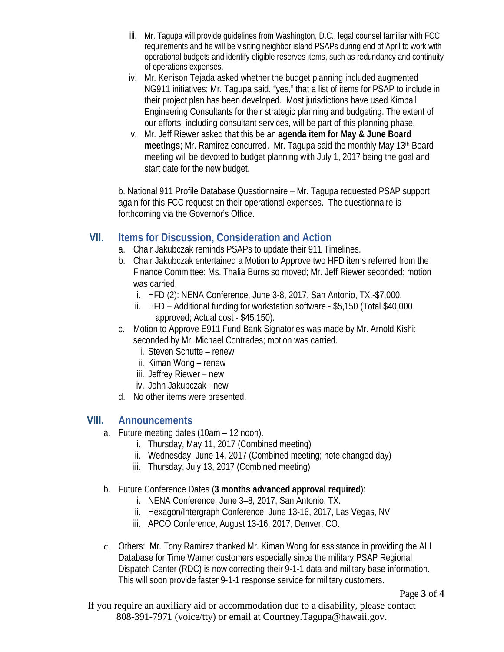- iii. Mr. Tagupa will provide guidelines from Washington, D.C., legal counsel familiar with FCC requirements and he will be visiting neighbor island PSAPs during end of April to work with operational budgets and identify eligible reserves items, such as redundancy and continuity of operations expenses.
- iv. Mr. Kenison Tejada asked whether the budget planning included augmented NG911 initiatives; Mr. Tagupa said, "yes," that a list of items for PSAP to include in their project plan has been developed. Most jurisdictions have used Kimball Engineering Consultants for their strategic planning and budgeting. The extent of our efforts, including consultant services, will be part of this planning phase.
- v. Mr. Jeff Riewer asked that this be an **agenda item for May & June Board meetings**; Mr. Ramirez concurred. Mr. Tagupa said the monthly May 13th Board meeting will be devoted to budget planning with July 1, 2017 being the goal and start date for the new budget.

b. National 911 Profile Database Questionnaire – Mr. Tagupa requested PSAP support again for this FCC request on their operational expenses. The questionnaire is forthcoming via the Governor's Office.

## **VII. Items for Discussion, Consideration and Action**

- a. Chair Jakubczak reminds PSAPs to update their 911 Timelines.
- b. Chair Jakubczak entertained a Motion to Approve two HFD items referred from the Finance Committee: Ms. Thalia Burns so moved; Mr. Jeff Riewer seconded; motion was carried.
	- i. HFD (2): NENA Conference, June 3-8, 2017, San Antonio, TX.-\$7,000.
	- ii. HFD Additional funding for workstation software \$5,150 (Total \$40,000 approved; Actual cost - \$45,150).
- c. Motion to Approve E911 Fund Bank Signatories was made by Mr. Arnold Kishi; seconded by Mr. Michael Contrades; motion was carried.
	- i. Steven Schutte renew
	- ii. Kiman Wong renew
	- iii. Jeffrey Riewer new
	- iv. John Jakubczak new
- d. No other items were presented.

## **VIII. Announcements**

- a. Future meeting dates (10am 12 noon).
	- i. Thursday, May 11, 2017 (Combined meeting)
	- ii. Wednesday, June 14, 2017 (Combined meeting; note changed day)
	- iii. Thursday, July 13, 2017 (Combined meeting)
- b. Future Conference Dates (**3 months advanced approval required**):
	- i. NENA Conference, June 3–8, 2017, San Antonio, TX.
	- ii. Hexagon/Intergraph Conference, June 13-16, 2017, Las Vegas, NV
	- iii. APCO Conference, August 13-16, 2017, Denver, CO.
- c. Others: Mr. Tony Ramirez thanked Mr. Kiman Wong for assistance in providing the ALI Database for Time Warner customers especially since the military PSAP Regional Dispatch Center (RDC) is now correcting their 9-1-1 data and military base information. This will soon provide faster 9-1-1 response service for military customers.

If you require an auxiliary aid or accommodation due to a disability, please contact 808-391-7971 (voice/tty) or email at Courtney.Tagupa@hawaii.gov.